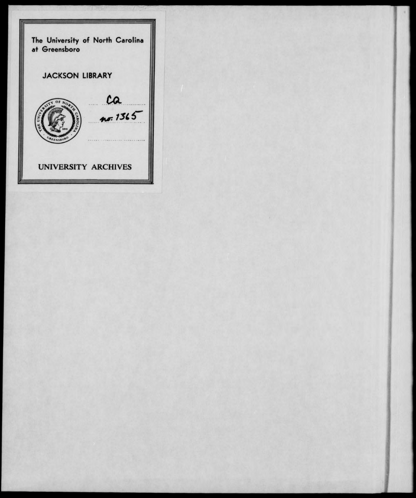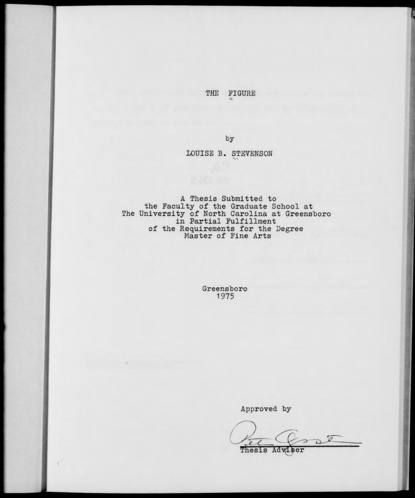THE FIGURE

by

## LOUISE B. STEVENSON

A Thesis Submitted to the Faculty of the Graduate School at<br>The University of North Carolina at Greensboro<br>in Partial Fulfillment of the Requirements for the Degree<br>Master of Fine Arts

> Greensboro 1975

> > Approved by

 $2E$ Thesis Adviser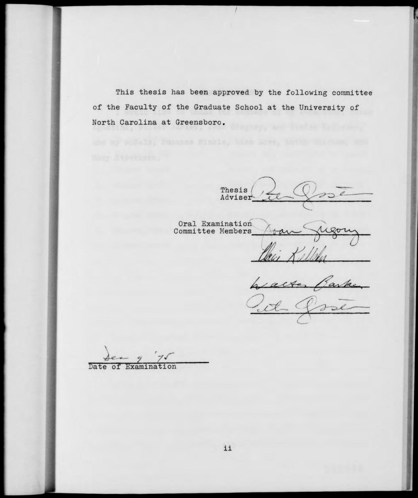This thesis has been approved by the following committee of the Faculty of the Graduate School at the University of North Carolina at Greensboro.

Thesis /  $\mathcal{Q}$ Adviser

Oral Examination Committee Members

Carke.

Date of Examination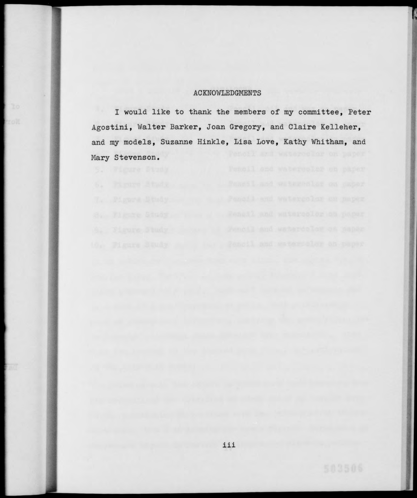## ACKNOWLEDGMENTS

I would like to thank the members of my committee, Peter Agostini, Walter Barker, Joan Gregory, and Claire Kelleher, and my models, Suzanne Hinkle, Lisa Love, Kathy Whitham, and Mary Stevenson.

**T**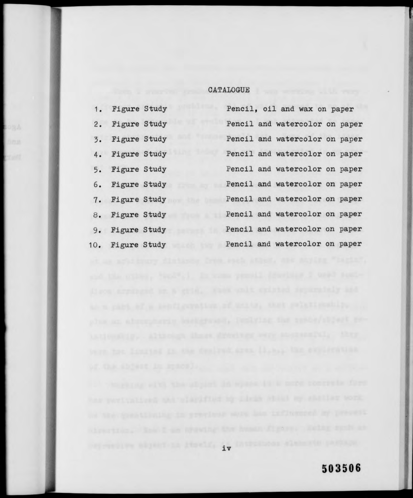## CATALOGUE

|    | 1. Figure Study  |  | Pencil, oil and wax on paper   |  |
|----|------------------|--|--------------------------------|--|
|    | 2. Figure Study  |  | Pencil and watercolor on paper |  |
|    | 3. Figure Study  |  | Pencil and watercolor on paper |  |
|    | 4. Figure Study  |  | Pencil and watercolor on paper |  |
| 5. | Figure Study     |  | Pencil and watercolor on paper |  |
|    | 6. Figure Study  |  | Pencil and watercolor on paper |  |
|    | 7. Figure Study  |  | Pencil and watercolor on paper |  |
|    | 8. Figure Study  |  | Pencil and watercolor on paper |  |
|    | 9. Figure Study  |  | Pencil and watercolor on paper |  |
|    | 10. Figure Study |  | Pencil and watercolor on paper |  |

IV STRIKT REPORT IN ANGELE, IV DINTERNAL ATAM NA PARTA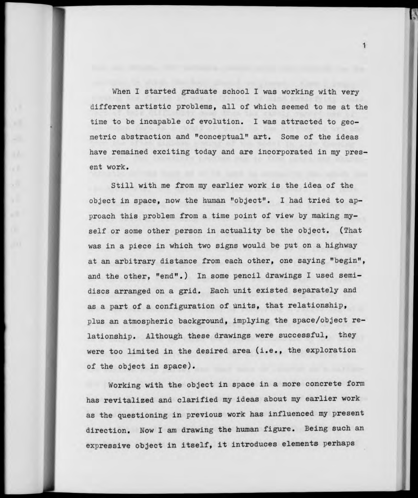When I started graduate school I was working with very different artistic problems, all of which seemed to me at the time to be incapable of evolution. I was attracted to geometric abstraction and "conceptual" art. Some of the ideas have remained exciting today and are incorporated in my present work.

 $\mathbf{1}$ 

Still with me from my earlier work is the idea of the object in space, now the human "object". <sup>I</sup> had tried to approach this problem from a time point of view by making myself or some other person in actuality be the object. (That was in a piece in which two signs would be put on a highway at an arbitrary distance from each other, one saying "begin", and the other, "end".) In some pencil drawings I used semidiscs arranged on a grid. Each unit existed separately and as a part of a configuration of units, that relationship, plus an atmospheric background, implying the space/object relationship. Although these drawings were successful, they were too limited in the desired area (i.e., the exploration of the object in space).

Working with the object in space in a more concrete form has revitalized and clarified my ideas about my earlier work as the questioning in previous work has influenced my present direction. Now I am drawing the human figure. Being such an expressive object in itself, it introduces elements perhaps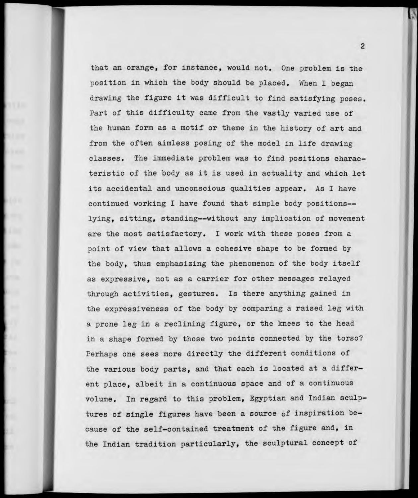that an orange, for instance, would not. One problem is the position in which the body should be placed. When I began drawing the figure it was difficult to find satisfying poses. Part of this difficulty came from the vastly varied use of the human form as a motif or theme in the history of art and from the often aimless posing of the model in life drawing classes. The immediate problem was to find positions characteristic of the body as it is used in actuality and which let its accidental and unconscious qualities appear. As I have continued working <sup>I</sup> have found that simple body positions lying, sitting, standing—without any implication of movement are the most satisfactory. I work with these poses from a point of view that allows a cohesive shape to be formed by the body, thus emphasizing the phenomenon of the body itself as expressive, not as a carrier for other messages relayed through activities, gestures. Is there anything gained in the expressiveness of the body by comparing a raised leg with a prone leg in a reclining figure, or the knees to the head in a shape formed by those two points connected by the torso? Perhaps one sees more directly the different conditions of the various body parts, and that each is located at a different place, albeit in a continuous space and of a continuous volume. In regard to this problem, Egyptian and Indian sculptures of single figures have been a source of inspiration because of the self-contained treatment of the figure and, in the Indian tradition particularly, the sculptural concept of

 $\overline{2}$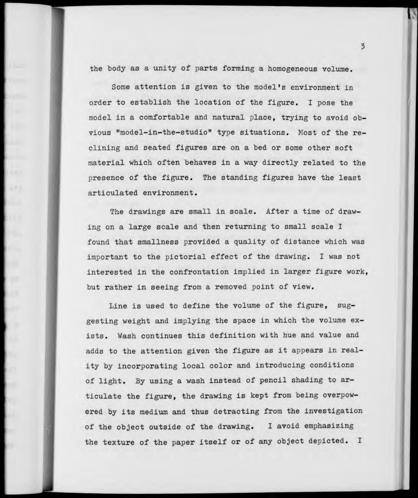the body as a unity of parts forming a homogeneous volume.

Some attention is given to the model's environment in order to establish the location of the figure. I pose the model in a comfortable and natural place, trying to avoid obvious "model-in-the-studio" type situations. Most of the reclining and seated figures are on a bed or some other soft material which often behaves in a way directly related to the presence of the figure. The standing figures have the least articulated environment.

The drawings are small in scale. After a time of drawing on a large scale and then returning to small scale I found that smallness provided a quality of distance which was important to the pictorial effect of the drawing. I was not interested in the confrontation implied in larger figure work, but rather in seeing from a removed point of view.

Line is used to define the volume of the figure, suggesting weight and implying the space in which the volume exists. Wash continues this definition with hue and value and adds to the attention given the figure as it appears in reality by incorporating local color and introducing conditions of light. By using a wash instead of pencil shading to articulate the figure, the drawing is kept from being overpowered by its medium and thus detracting from the investigation of the object outside of the drawing. I avoid emphasizing the texture of the paper itself or of any object depicted. I